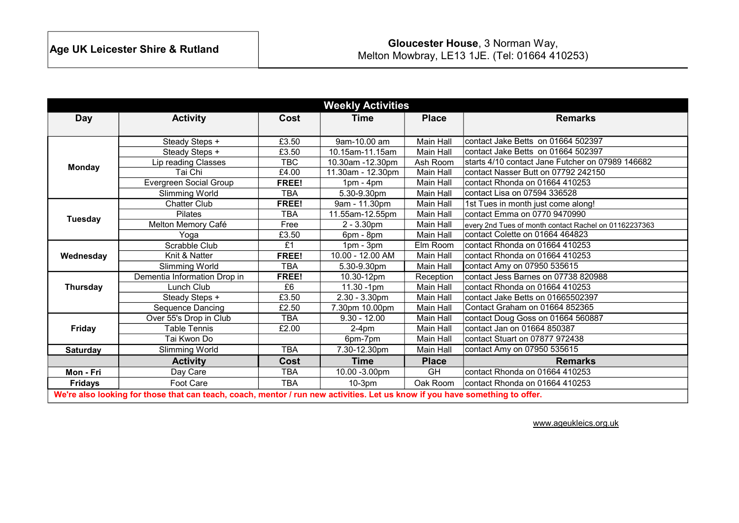| <b>Weekly Activities</b>                                                                                                     |                              |            |                   |                  |                                                       |  |
|------------------------------------------------------------------------------------------------------------------------------|------------------------------|------------|-------------------|------------------|-------------------------------------------------------|--|
| <b>Day</b>                                                                                                                   | <b>Activity</b>              | Cost       | Time              | <b>Place</b>     | <b>Remarks</b>                                        |  |
|                                                                                                                              |                              |            |                   |                  |                                                       |  |
| <b>Monday</b>                                                                                                                | Steady Steps +               | £3.50      | 9am-10.00 am      | <b>Main Hall</b> | contact Jake Betts on 01664 502397                    |  |
|                                                                                                                              | Steady Steps +               | £3.50      | 10.15am-11.15am   | Main Hall        | contact Jake Betts on 01664 502397                    |  |
|                                                                                                                              | Lip reading Classes          | TBC        | 10.30am -12.30pm  | Ash Room         | starts 4/10 contact Jane Futcher on 07989 146682      |  |
|                                                                                                                              | Tai Chi                      | £4.00      | 11.30am - 12.30pm | Main Hall        | contact Nasser Butt on 07792 242150                   |  |
|                                                                                                                              | Evergreen Social Group       | FREE!      | $1pm - 4pm$       | Main Hall        | contact Rhonda on 01664 410253                        |  |
|                                                                                                                              | <b>Slimming World</b>        | <b>TBA</b> | 5.30-9.30pm       | Main Hall        | contact Lisa on 07594 336528                          |  |
|                                                                                                                              | <b>Chatter Club</b>          | FREE!      | 9am - 11.30pm     | Main Hall        | 1st Tues in month just come along!                    |  |
| <b>Tuesday</b>                                                                                                               | <b>Pilates</b>               | <b>TBA</b> | 11.55am-12.55pm   | Main Hall        | contact Emma on 0770 9470990                          |  |
|                                                                                                                              | Melton Memory Café           | Free       | $2 - 3.30$ pm     | Main Hall        | every 2nd Tues of month contact Rachel on 01162237363 |  |
|                                                                                                                              | Yoga                         | £3.50      | 6pm - 8pm         | <b>Main Hall</b> | contact Colette on 01664 464823                       |  |
|                                                                                                                              | Scrabble Club                | £1         | $1pm - 3pm$       | Elm Room         | contact Rhonda on 01664 410253                        |  |
| Wednesday                                                                                                                    | Knit & Natter                | FREE!      | 10.00 - 12.00 AM  | Main Hall        | contact Rhonda on 01664 410253                        |  |
|                                                                                                                              | Slimming World               | <b>TBA</b> | 5.30-9.30pm       | Main Hall        | contact Amy on 07950 535615                           |  |
| Thursday                                                                                                                     | Dementia Information Drop in | FREE!      | 10.30-12pm        | Reception        | contact Jess Barnes on 07738 820988                   |  |
|                                                                                                                              | Lunch Club                   | £6         | 11.30 -1pm        | Main Hall        | contact Rhonda on 01664 410253                        |  |
|                                                                                                                              | Steady Steps +               | £3.50      | $2.30 - 3.30$ pm  | Main Hall        | contact Jake Betts on 01665502397                     |  |
|                                                                                                                              | Sequence Dancing             | £2.50      | 7.30pm 10.00pm    | Main Hall        | Contact Graham on 01664 852365                        |  |
|                                                                                                                              | Over 55's Drop in Club       | <b>TBA</b> | $9.30 - 12.00$    | Main Hall        | contact Doug Goss on 01664 560887                     |  |
| <b>Friday</b>                                                                                                                | <b>Table Tennis</b>          | £2.00      | $2-4pm$           | Main Hall        | contact Jan on 01664 850387                           |  |
|                                                                                                                              | Tai Kwon Do                  |            | 6pm-7pm           | Main Hall        | contact Stuart on 07877 972438                        |  |
| <b>Saturday</b>                                                                                                              | <b>Slimming World</b>        | <b>TBA</b> | 7.30-12.30pm      | Main Hall        | contact Amy on 07950 535615                           |  |
|                                                                                                                              | <b>Activity</b>              | Cost       | Time              | <b>Place</b>     | <b>Remarks</b>                                        |  |
| Mon - Fri                                                                                                                    | Day Care                     | <b>TBA</b> | 10.00 - 3.00pm    | <b>GH</b>        | contact Rhonda on 01664 410253                        |  |
| <b>Fridays</b>                                                                                                               | Foot Care                    | <b>TBA</b> | 10-3pm            | Oak Room         | contact Rhonda on 01664 410253                        |  |
| We're also looking for those that can teach, coach, mentor / run new activities. Let us know if you have something to offer. |                              |            |                   |                  |                                                       |  |

www.ageukleics.org.uk